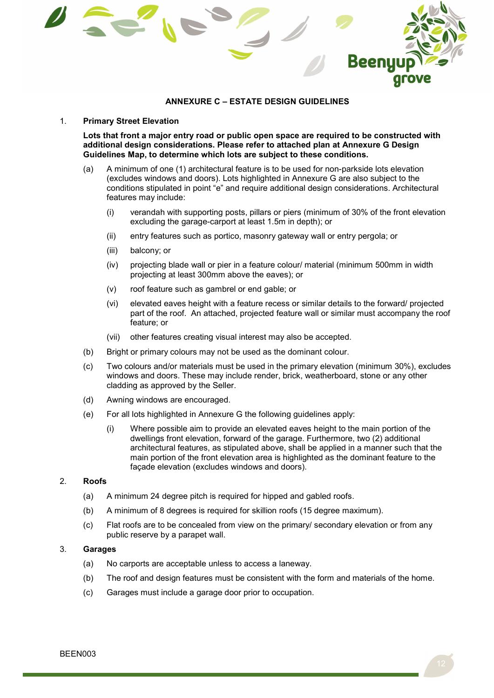

## ANNEXURE C – ESTATE DESIGN GUIDELINES

#### 1. Primary Street Elevation

Lots that front a major entry road or public open space are required to be constructed with additional design considerations. Please refer to attached plan at Annexure G Design Guidelines Map, to determine which lots are subject to these conditions.

- (a) A minimum of one (1) architectural feature is to be used for non-parkside lots elevation (excludes windows and doors). Lots highlighted in Annexure G are also subject to the conditions stipulated in point "e" and require additional design considerations. Architectural features may include:
	- (i) verandah with supporting posts, pillars or piers (minimum of 30% of the front elevation excluding the garage-carport at least 1.5m in depth); or
	- (ii) entry features such as portico, masonry gateway wall or entry pergola; or
	- (iii) balcony; or
	- (iv) projecting blade wall or pier in a feature colour/ material (minimum 500mm in width projecting at least 300mm above the eaves); or
	- (v) roof feature such as gambrel or end gable; or
	- (vi) elevated eaves height with a feature recess or similar details to the forward/ projected part of the roof. An attached, projected feature wall or similar must accompany the roof feature; or
	- (vii) other features creating visual interest may also be accepted.
- (b) Bright or primary colours may not be used as the dominant colour.
- (c) Two colours and/or materials must be used in the primary elevation (minimum 30%), excludes windows and doors. These may include render, brick, weatherboard, stone or any other cladding as approved by the Seller.
- (d) Awning windows are encouraged.
- (e) For all lots highlighted in Annexure G the following guidelines apply:
	- (i) Where possible aim to provide an elevated eaves height to the main portion of the dwellings front elevation, forward of the garage. Furthermore, two (2) additional architectural features, as stipulated above, shall be applied in a manner such that the main portion of the front elevation area is highlighted as the dominant feature to the façade elevation (excludes windows and doors).

#### 2. Roofs

- (a) A minimum 24 degree pitch is required for hipped and gabled roofs.
- (b) A minimum of 8 degrees is required for skillion roofs (15 degree maximum).
- (c) Flat roofs are to be concealed from view on the primary/ secondary elevation or from any public reserve by a parapet wall.

# 3. Garages

- (a) No carports are acceptable unless to access a laneway.
- (b) The roof and design features must be consistent with the form and materials of the home.
- (c) Garages must include a garage door prior to occupation.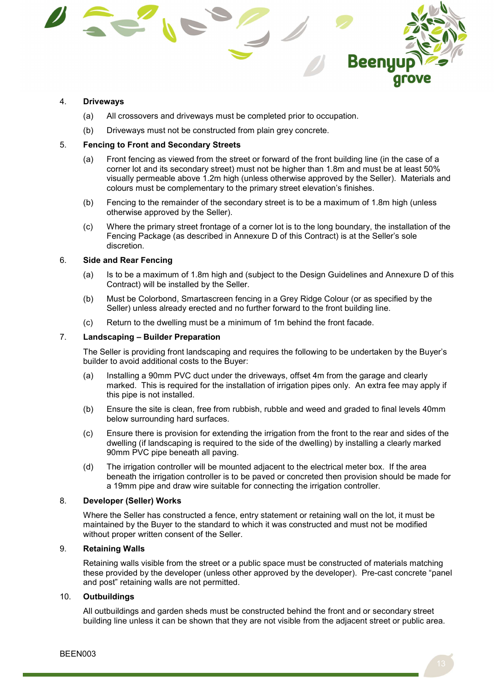

### 4. Driveways

- (a) All crossovers and driveways must be completed prior to occupation.
- (b) Driveways must not be constructed from plain grey concrete.

### 5. Fencing to Front and Secondary Streets

- (a) Front fencing as viewed from the street or forward of the front building line (in the case of a corner lot and its secondary street) must not be higher than 1.8m and must be at least 50% visually permeable above 1.2m high (unless otherwise approved by the Seller). Materials and colours must be complementary to the primary street elevation's finishes.
- (b) Fencing to the remainder of the secondary street is to be a maximum of 1.8m high (unless otherwise approved by the Seller).
- (c) Where the primary street frontage of a corner lot is to the long boundary, the installation of the Fencing Package (as described in Annexure D of this Contract) is at the Seller's sole discretion.

# 6. Side and Rear Fencing

- (a) Is to be a maximum of 1.8m high and (subject to the Design Guidelines and Annexure D of this Contract) will be installed by the Seller.
- (b) Must be Colorbond, Smartascreen fencing in a Grey Ridge Colour (or as specified by the Seller) unless already erected and no further forward to the front building line.
- (c) Return to the dwelling must be a minimum of 1m behind the front facade.

### 7. Landscaping – Builder Preparation

The Seller is providing front landscaping and requires the following to be undertaken by the Buyer's builder to avoid additional costs to the Buyer:

- (a) Installing a 90mm PVC duct under the driveways, offset 4m from the garage and clearly marked. This is required for the installation of irrigation pipes only. An extra fee may apply if this pipe is not installed.
- (b) Ensure the site is clean, free from rubbish, rubble and weed and graded to final levels 40mm below surrounding hard surfaces.
- (c) Ensure there is provision for extending the irrigation from the front to the rear and sides of the dwelling (if landscaping is required to the side of the dwelling) by installing a clearly marked 90mm PVC pipe beneath all paving.
- (d) The irrigation controller will be mounted adjacent to the electrical meter box. If the area beneath the irrigation controller is to be paved or concreted then provision should be made for a 19mm pipe and draw wire suitable for connecting the irrigation controller.

#### 8. Developer (Seller) Works

Where the Seller has constructed a fence, entry statement or retaining wall on the lot, it must be maintained by the Buyer to the standard to which it was constructed and must not be modified without proper written consent of the Seller.

# 9. Retaining Walls

Retaining walls visible from the street or a public space must be constructed of materials matching these provided by the developer (unless other approved by the developer). Pre-cast concrete "panel and post" retaining walls are not permitted.

# 10. Outbuildings

All outbuildings and garden sheds must be constructed behind the front and or secondary street building line unless it can be shown that they are not visible from the adjacent street or public area.

BEEN003